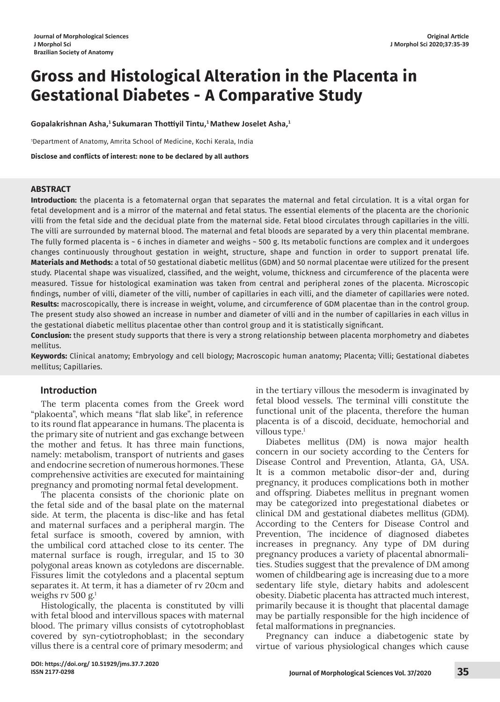# **Gross and Histological Alteration in the Placenta in Gestational Diabetes - A Comparative Study**

**Gopalakrishnan Asha,1 Sukumaran Thottiyil Tintu,1 Mathew Joselet Asha,1**

1 Department of Anatomy, Amrita School of Medicine, Kochi Kerala, India

**Disclose and conflicts of interest: none to be declared by all authors**

#### **ABSTRACT**

**Introduction:** the placenta is a fetomaternal organ that separates the maternal and fetal circulation. It is a vital organ for fetal development and is a mirror of the maternal and fetal status. The essential elements of the placenta are the chorionic villi from the fetal side and the decidual plate from the maternal side. Fetal blood circulates through capillaries in the villi. The villi are surrounded by maternal blood. The maternal and fetal bloods are separated by a very thin placental membrane. The fully formed placenta is ~ 6 inches in diameter and weighs ~ 500 g. Its metabolic functions are complex and it undergoes changes continuously throughout gestation in weight, structure, shape and function in order to support prenatal life. **Materials and Methods:** a total of 50 gestational diabetic mellitus (GDM) and 50 normal placentae were utilized for the present study. Placental shape was visualized, classified, and the weight, volume, thickness and circumference of the placenta were measured. Tissue for histological examination was taken from central and peripheral zones of the placenta. Microscopic findings, number of villi, diameter of the villi, number of capillaries in each villi, and the diameter of capillaries were noted. **Results:** macroscopically, there is increase in weight, volume, and circumference of GDM placentae than in the control group. The present study also showed an increase in number and diameter of villi and in the number of capillaries in each villus in the gestational diabetic mellitus placentae other than control group and it is statistically significant.

**Conclusion:** the present study supports that there is very a strong relationship between placenta morphometry and diabetes mellitus.

**Keywords:** Clinical anatomy; Embryology and cell biology; Macroscopic human anatomy; Placenta; Villi; Gestational diabetes mellitus; Capillaries.

# **Introduction**

The term placenta comes from the Greek word "plakoenta", which means "flat slab like", in reference to its round flat appearance in humans. The placenta is the primary site of nutrient and gas exchange between the mother and fetus. It has three main functions, namely: metabolism, transport of nutrients and gases and endocrine secretion of numerous hormones. These comprehensive activities are executed for maintaining pregnancy and promoting normal fetal development.

The placenta consists of the chorionic plate on the fetal side and of the basal plate on the maternal side. At term, the placenta is disc-like and has fetal and maternal surfaces and a peripheral margin. The fetal surface is smooth, covered by amnion, with the umbilical cord attached close to its center. The maternal surface is rough, irregular, and 15 to 30 polygonal areas known as cotyledons are discernable. Fissures limit the cotyledons and a placental septum separates it. At term, it has a diameter of rv 20cm and weighs rv 500 g. $<sup>1</sup>$ </sup>

Histologically, the placenta is constituted by villi with fetal blood and intervillous spaces with maternal blood. The primary villus consists of cytotrophoblast covered by syn-cytiotrophoblast; in the secondary villus there is a central core of primary mesoderm; and

in the tertiary villous the mesoderm is invaginated by fetal blood vessels. The terminal villi constitute the functional unit of the placenta, therefore the human placenta is of a discoid, deciduate, hemochorial and villous type. $1$ 

Diabetes mellitus (DM) is nowa major health concern in our society according to the Centers for Disease Control and Prevention, Atlanta, GA, USA. It is a common metabolic disor-der and, during pregnancy, it produces complications both in mother and offspring. Diabetes mellitus in pregnant women may be categorized into pregestational diabetes or clinical DM and gestational diabetes mellitus (GDM). According to the Centers for Disease Control and Prevention, The incidence of diagnosed diabetes increases in pregnancy. Any type of DM during pregnancy produces a variety of placental abnormalities. Studies suggest that the prevalence of DM among women of childbearing age is increasing due to a more sedentary life style, dietary habits and adolescent obesity. Diabetic placenta has attracted much interest, primarily because it is thought that placental damage may be partially responsible for the high incidence of fetal malformations in pregnancies.

Pregnancy can induce a diabetogenic state by virtue of various physiological changes which cause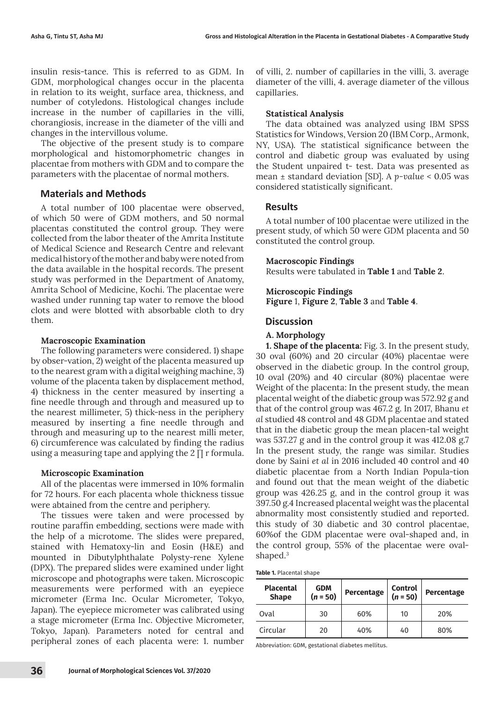insulin resis-tance. This is referred to as GDM. In GDM, morphological changes occur in the placenta in relation to its weight, surface area, thickness, and number of cotyledons. Histological changes include increase in the number of capillaries in the villi, chorangiosis, increase in the diameter of the villi and changes in the intervillous volume.

The objective of the present study is to compare morphological and histomorphometric changes in placentae from mothers with GDM and to compare the parameters with the placentae of normal mothers.

# **Materials and Methods**

A total number of 100 placentae were observed, of which 50 were of GDM mothers, and 50 normal placentas constituted the control group. They were collected from the labor theater of the Amrita Institute of Medical Science and Research Centre and relevant medical history of the mother and baby were noted from the data available in the hospital records. The present study was performed in the Department of Anatomy, Amrita School of Medicine, Kochi. The placentae were washed under running tap water to remove the blood clots and were blotted with absorbable cloth to dry them.

#### **Macroscopic Examination**

The following parameters were considered. 1) shape by obser-vation, 2) weight of the placenta measured up to the nearest gram with a digital weighing machine, 3) volume of the placenta taken by displacement method, 4) thickness in the center measured by inserting a fine needle through and through and measured up to the nearest millimeter, 5) thick-ness in the periphery measured by inserting a fine needle through and through and measuring up to the nearest milli meter, 6) circumference was calculated by finding the radius using a measuring tape and applying the  $2 \Pi r$  formula.

#### **Microscopic Examination**

All of the placentas were immersed in 10% formalin for 72 hours. For each placenta whole thickness tissue were abtained from the centre and periphery.

The tissues were taken and were processed by routine paraffin embedding, sections were made with the help of a microtome. The slides were prepared, stained with Hematoxy-lin and Eosin (H&E) and mounted in Dibutylphthalate Polysty-rene Xylene (DPX). The prepared slides were examined under light microscope and photographs were taken. Microscopic measurements were performed with an eyepiece micrometer (Erma Inc. Ocular Micrometer, Tokyo, Japan). The eyepiece micrometer was calibrated using a stage micrometer (Erma Inc. Objective Micrometer, Tokyo, Japan). Parameters noted for central and peripheral zones of each placenta were: 1. number of villi, 2. number of capillaries in the villi, 3. average diameter of the villi, 4. average diameter of the villous capillaries.

#### **Statistical Analysis**

The data obtained was analyzed using IBM SPSS Statistics for Windows, Version 20 (IBM Corp., Armonk, NY, USA). The statistical significance between the control and diabetic group was evaluated by using the Student unpaired t- test. Data was presented as mean ± standard deviation [SD]. A *p-value* < 0.05 was considered statistically significant.

# **Results**

A total number of 100 placentae were utilized in the present study, of which 50 were GDM placenta and 50 constituted the control group.

# **Macroscopic Findings**

Results were tabulated in **Table 1** and **Table 2**.

# **Microscopic Findings Figure** 1, **Figure 2**, **Table 3** and **Table 4**.

# **Discussion**

# **A. Morphology**

**1. Shape of the placenta:** Fig. 3. In the present study, 30 oval (60%) and 20 circular (40%) placentae were observed in the diabetic group. In the control group, 10 oval (20%) and 40 circular (80%) placentae were Weight of the placenta: In the present study, the mean placental weight of the diabetic group was 572.92 g and that of the control group was 467.2 g. In 2017, Bhanu *et al* studied 48 control and 48 GDM placentae and stated that in the diabetic group the mean placen-tal weight was 537.27 g and in the control group it was 412.08 g.7 In the present study, the range was similar. Studies done by Saini *et al* in 2016 included 40 control and 40 diabetic placentae from a North Indian Popula-tion and found out that the mean weight of the diabetic group was 426.25 g, and in the control group it was 397.50 g.4 Increased placental weight was the placental abnormality most consistently studied and reported. this study of 30 diabetic and 30 control placentae, 60%of the GDM placentae were oval-shaped and, in the control group, 55% of the placentae were ovalshaped.<sup>3</sup>

**Table 1.** Placental shape

| <b>Placental</b><br><b>Shape</b> | <b>GDM</b><br>$(n = 50)$ | Percentage | <b>Control</b><br>$(n = 50)$ | Percentage |  |
|----------------------------------|--------------------------|------------|------------------------------|------------|--|
| Oval                             | 30                       | 60%        | 10                           | 20%        |  |
| Circular                         | 20                       | 40%        | 40                           | 80%        |  |

Abbreviation: GDM, gestational diabetes mellitus.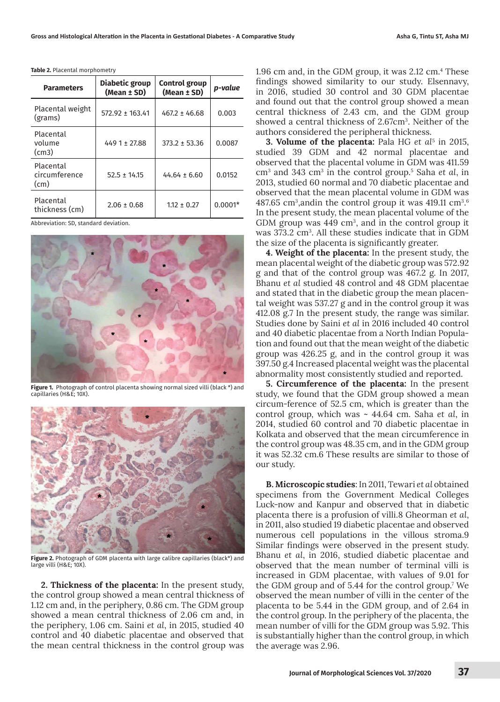| <b>Parameters</b>                  | Diabetic group<br>(Mean ± SD) | <b>Control group</b><br>(Mean ± SD) | p-value   |
|------------------------------------|-------------------------------|-------------------------------------|-----------|
| Placental weight<br>(grams)        | $572.92 \pm 163.41$           | $467.2 \pm 46.68$                   | 0.003     |
| Placental<br>volume<br>(cm3)       | $4491 \pm 27.88$              | $373.2 \pm 53.36$                   | 0.0087    |
| Placental<br>circumference<br>(cm) | $52.5 \pm 14.15$              | $44.64 \pm 6.60$                    | 0.0152    |
| Placental<br>thickness (cm)        | $2.06 \pm 0.68$               | $1.12 \pm 0.27$                     | $0.0001*$ |

**Table 2.** Placental morphometry

Abbreviation: SD, standard deviation.



**Figure 1.** Photograph of control placenta showing normal sized villi (black \*) and capillaries (H&E; 10X).



**Figure 2.** Photograph of GDM placenta with large calibre capillaries (black\*) and large villi (H&E; 10X).

**2. Thickness of the placenta:** In the present study, the control group showed a mean central thickness of 1.12 cm and, in the periphery, 0.86 cm. The GDM group showed a mean central thickness of 2.06 cm and, in the periphery, 1.06 cm. Saini *et al*, in 2015, studied 40 control and 40 diabetic placentae and observed that the mean central thickness in the control group was

1.96 cm and, in the GDM group, it was 2.12 cm.<sup>4</sup> These findings showed similarity to our study. Elsennavy, in 2016, studied 30 control and 30 GDM placentae and found out that the control group showed a mean central thickness of 2.43 cm, and the GDM group showed a central thickness of 2.67cm<sup>3</sup>. Neither of the authors considered the peripheral thickness.

**3. Volume of the placenta:** Pala HG *et al*<sup>5</sup> in 2015, studied 39 GDM and 42 normal placentae and observed that the placental volume in GDM was 411.59 cm3 and 343 cm3 in the control group.<sup>5</sup> Saha *et al*, in 2013, studied 60 normal and 70 diabetic placentae and observed that the mean placental volume in GDM was  $487.65$  cm $^3$ ,andin the control group it was  $419.11$  cm $^3$ . $^6$ In the present study, the mean placental volume of the GDM group was  $449 \text{ cm}^3$ , and in the control group it was 373.2 cm<sup>3</sup>. All these studies indicate that in GDM the size of the placenta is significantly greater.

**4. Weight of the placenta:** In the present study, the mean placental weight of the diabetic group was 572.92 g and that of the control group was 467.2 g. In 2017, Bhanu *et al* studied 48 control and 48 GDM placentae and stated that in the diabetic group the mean placental weight was 537.27 g and in the control group it was 412.08 g.7 In the present study, the range was similar. Studies done by Saini *et al* in 2016 included 40 control and 40 diabetic placentae from a North Indian Population and found out that the mean weight of the diabetic group was 426.25 g, and in the control group it was 397.50 g.4 Increased placental weight was the placental abnormality most consistently studied and reported.

**5. Circumference of the placenta:** In the present study, we found that the GDM group showed a mean circum-ference of 52.5 cm, which is greater than the control group, which was ~ 44.64 cm. Saha *et al*, in 2014, studied 60 control and 70 diabetic placentae in Kolkata and observed that the mean circumference in the control group was 48.35 cm, and in the GDM group it was 52.32 cm.6 These results are similar to those of our study.

**B. Microscopic studies**: In 2011, Tewari *et al* obtained specimens from the Government Medical Colleges Luck-now and Kanpur and observed that in diabetic placenta there is a profusion of villi.8 Gheorman *et al*, in 2011, also studied 19 diabetic placentae and observed numerous cell populations in the villous stroma.9 Similar findings were observed in the present study. Bhanu *et al*, in 2016, studied diabetic placentae and observed that the mean number of terminal villi is increased in GDM placentae, with values of 9.01 for the GDM group and of 5.44 for the control group.<sup>7</sup> We observed the mean number of villi in the center of the placenta to be 5.44 in the GDM group, and of 2.64 in the control group. In the periphery of the placenta, the mean number of villi for the GDM group was 5.92. This is substantially higher than the control group, in which the average was 2.96.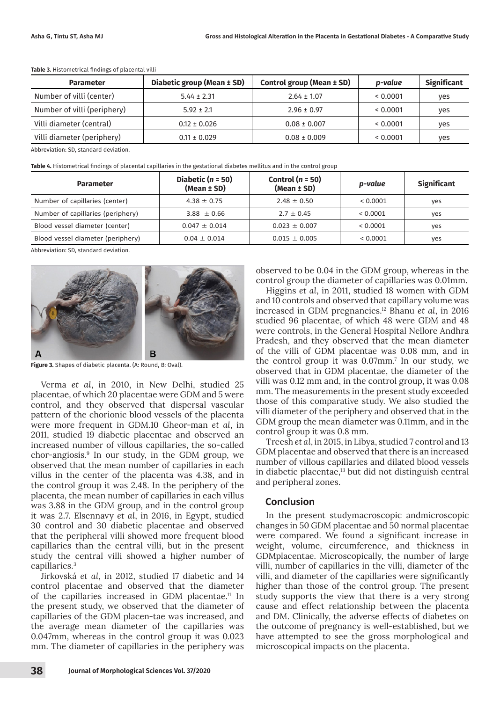| <b>Parameter</b>            | Diabetic group (Mean ± SD) | Control group (Mean ± SD) | p-value | <b>Significant</b> |
|-----------------------------|----------------------------|---------------------------|---------|--------------------|
| Number of villi (center)    | $5.44 \pm 2.31$            | $2.64 \pm 1.07$           | 0.0001  | yes                |
| Number of villi (periphery) | $5.92 \pm 2.1$             | $2.96 \pm 0.97$           | 0.0001  | yes                |
| Villi diameter (central)    | $0.12 \pm 0.026$           | $0.08 \pm 0.007$          | 0.0001  | yes                |
| Villi diameter (periphery)  | $0.11 \pm 0.029$           | $0.08 \pm 0.009$          | 0.0001  | yes                |

**Table 3.** Histometrical findings of placental villi

Abbreviation: SD, standard deviation.

**Table 4.** Histometrical findings of placental capillaries in the gestational diabetes mellitus and in the control group

| <b>Parameter</b>                  | Diabetic ( $n = 50$ )<br>(Mean ± SD) | Control ( $n = 50$ )<br>(Mean ± SD) | p-value  | <b>Significant</b> |
|-----------------------------------|--------------------------------------|-------------------------------------|----------|--------------------|
| Number of capillaries (center)    | $4.38 \pm 0.75$                      | $2.48 \pm 0.50$                     | < 0.0001 | yes                |
| Number of capillaries (periphery) | 3.88 $\pm$ 0.66                      | $2.7 \pm 0.45$                      | < 0.0001 | yes                |
| Blood vessel diameter (center)    | $0.047 + 0.014$                      | $0.023 \pm 0.007$                   | < 0.0001 | yes                |
| Blood vessel diameter (periphery) | $0.04 + 0.014$                       | $0.015 \pm 0.005$                   | < 0.0001 | yes                |

Abbreviation: SD, standard deviation.



**Figure 3.** Shapes of diabetic placenta. (A: Round, B: Oval).

Verma *et al*, in 2010, in New Delhi, studied 25 placentae, of which 20 placentae were GDM and 5 were control, and they observed that dispersal vascular pattern of the chorionic blood vessels of the placenta were more frequent in GDM.10 Gheor-man *et al*, in 2011, studied 19 diabetic placentae and observed an increased number of villous capillaries, the so-called chor-angiosis.9 In our study, in the GDM group, we observed that the mean number of capillaries in each villus in the center of the placenta was 4.38, and in the control group it was 2.48. In the periphery of the placenta, the mean number of capillaries in each villus was 3.88 in the GDM group, and in the control group it was 2.7. Elsennavy *et al*, in 2016, in Egypt, studied 30 control and 30 diabetic placentae and observed that the peripheral villi showed more frequent blood capillaries than the central villi, but in the present study the central villi showed a higher number of capillaries.<sup>3</sup>

Jirkovská *et al*, in 2012, studied 17 diabetic and 14 control placentae and observed that the diameter of the capillaries increased in GDM placentae.<sup>11</sup> In the present study, we observed that the diameter of capillaries of the GDM placen-tae was increased, and the average mean diameter of the capillaries was 0.047mm, whereas in the control group it was 0.023 mm. The diameter of capillaries in the periphery was

observed to be 0.04 in the GDM group, whereas in the control group the diameter of capillaries was 0.01mm.

Higgins *et al*, in 2011, studied 18 women with GDM and 10 controls and observed that capillary volume was increased in GDM pregnancies.12 Bhanu *et al*, in 2016 studied 96 placentae, of which 48 were GDM and 48 were controls, in the General Hospital Nellore Andhra Pradesh, and they observed that the mean diameter of the villi of GDM placentae was 0.08 mm, and in the control group it was 0.07mm.<sup>7</sup> In our study, we observed that in GDM placentae, the diameter of the villi was 0.12 mm and, in the control group, it was 0.08 mm. The measurements in the present study exceeded those of this comparative study. We also studied the villi diameter of the periphery and observed that in the GDM group the mean diameter was 0.11mm, and in the control group it was 0.8 mm.

Treesh *et al*, in 2015, in Libya, studied 7 control and 13 GDM placentae and observed that there is an increased number of villous capillaries and dilated blood vessels in diabetic placentae,<sup>13</sup> but did not distinguish central and peripheral zones.

#### **Conclusion**

In the present studymacroscopic andmicroscopic changes in 50 GDM placentae and 50 normal placentae were compared. We found a significant increase in weight, volume, circumference, and thickness in GDMplacentae. Microscopically, the number of large villi, number of capillaries in the villi, diameter of the villi, and diameter of the capillaries were significantly higher than those of the control group. The present study supports the view that there is a very strong cause and effect relationship between the placenta and DM. Clinically, the adverse effects of diabetes on the outcome of pregnancy is well-established, but we have attempted to see the gross morphological and microscopical impacts on the placenta.